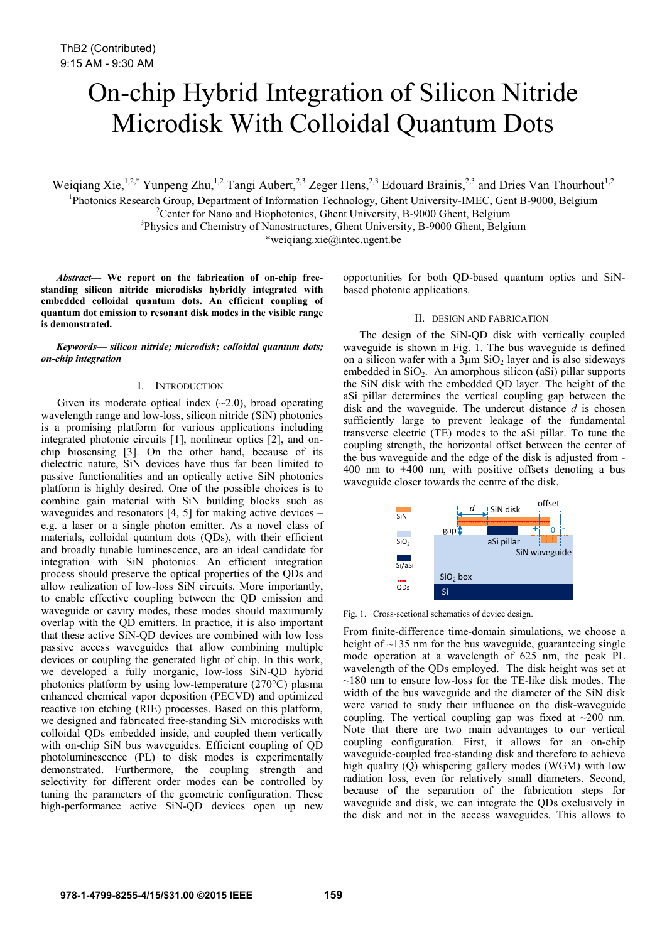# On-chip Hybrid Integration of Silicon Nitride Microdisk With Colloidal Quantum Dots

Weiqiang Xie,<sup>1,2,\*</sup> Yunpeng Zhu,<sup>1,2</sup> Tangi Aubert,<sup>2,3</sup> Zeger Hens,<sup>2,3</sup> Edouard Brainis,<sup>2,3</sup> and Dries Van Thourhout<sup>1,2</sup>

<sup>1</sup>Photonics Research Group, Department of Information Technology, Ghent University-IMEC, Gent B-9000, Belgium <sup>2</sup>Center for Nano and Biophotonics, Ghent University, B, 0000 Ghent Belgium

<sup>2</sup> Center for Nano and Biophotonics, Ghent University, B-9000 Ghent, Belgium

<sup>3</sup>Physics and Chemistry of Nanostructures, Ghent University, B-9000 Ghent, Belgium

\*weiqiang.xie@intec.ugent.be

*Abstract***— We report on the fabrication of on-chip freestanding silicon nitride microdisks hybridly integrated with embedded colloidal quantum dots. An efficient coupling of quantum dot emission to resonant disk modes in the visible range is demonstrated.**

*Keywords— silicon nitride; microdisk; colloidal quantum dots; on-chip integration*

#### I. INTRODUCTION

Given its moderate optical index  $(-2.0)$ , broad operating wavelength range and low-loss, silicon nitride (SiN) photonics is a promising platform for various applications including integrated photonic circuits [1], nonlinear optics [2], and onchip biosensing [3]. On the other hand, because of its dielectric nature, SiN devices have thus far been limited to passive functionalities and an optically active SiN photonics platform is highly desired. One of the possible choices is to combine gain material with SiN building blocks such as waveguides and resonators  $[4, 5]$  for making active devices – e.g. a laser or a single photon emitter. As a novel class of materials, colloidal quantum dots (QDs), with their efficient and broadly tunable luminescence, are an ideal candidate for integration with SiN photonics. An efficient integration process should preserve the optical properties of the QDs and allow realization of low-loss SiN circuits. More importantly, to enable effective coupling between the QD emission and waveguide or cavity modes, these modes should maximumly overlap with the QD emitters. In practice, it is also important that these active SiN-QD devices are combined with low loss passive access waveguides that allow combining multiple devices or coupling the generated light of chip. In this work, we developed a fully inorganic, low-loss SiN-QD hybrid photonics platform by using low-temperature (270°C) plasma enhanced chemical vapor deposition (PECVD) and optimized reactive ion etching (RIE) processes. Based on this platform, we designed and fabricated free-standing SiN microdisks with colloidal QDs embedded inside, and coupled them vertically with on-chip SiN bus waveguides. Efficient coupling of QD photoluminescence (PL) to disk modes is experimentally demonstrated. Furthermore, the coupling strength and selectivity for different order modes can be controlled by tuning the parameters of the geometric configuration. These high-performance active SiN-QD devices open up new

opportunities for both QD-based quantum optics and SiNbased photonic applications.

## II. DESIGN AND FABRICATION

The design of the SiN-QD disk with vertically coupled waveguide is shown in Fig. 1. The bus waveguide is defined on a silicon wafer with a  $3\mu$ m SiO<sub>2</sub> layer and is also sideways embedded in SiO<sub>2</sub>. An amorphous silicon (aSi) pillar supports the SiN disk with the embedded QD layer. The height of the aSi pillar determines the vertical coupling gap between the disk and the waveguide. The undercut distance *d* is chosen sufficiently large to prevent leakage of the fundamental transverse electric (TE) modes to the aSi pillar. To tune the coupling strength, the horizontal offset between the center of the bus waveguide and the edge of the disk is adjusted from - 400 nm to +400 nm, with positive offsets denoting a bus waveguide closer towards the centre of the disk.



Fig. 1. Cross-sectional schematics of device design.

From finite-difference time-domain simulations, we choose a height of  $\sim$ 135 nm for the bus waveguide, guaranteeing single mode operation at a wavelength of 625 nm, the peak PL wavelength of the QDs employed. The disk height was set at  $\sim$ 180 nm to ensure low-loss for the TE-like disk modes. The width of the bus waveguide and the diameter of the SiN disk were varied to study their influence on the disk-waveguide coupling. The vertical coupling gap was fixed at ~200 nm. Note that there are two main advantages to our vertical coupling configuration. First, it allows for an on-chip waveguide-coupled free-standing disk and therefore to achieve high quality  $\overline{(O)}$  whispering gallery modes (WGM) with low radiation loss, even for relatively small diameters. Second, because of the separation of the fabrication steps for waveguide and disk, we can integrate the QDs exclusively in the disk and not in the access waveguides. This allows to